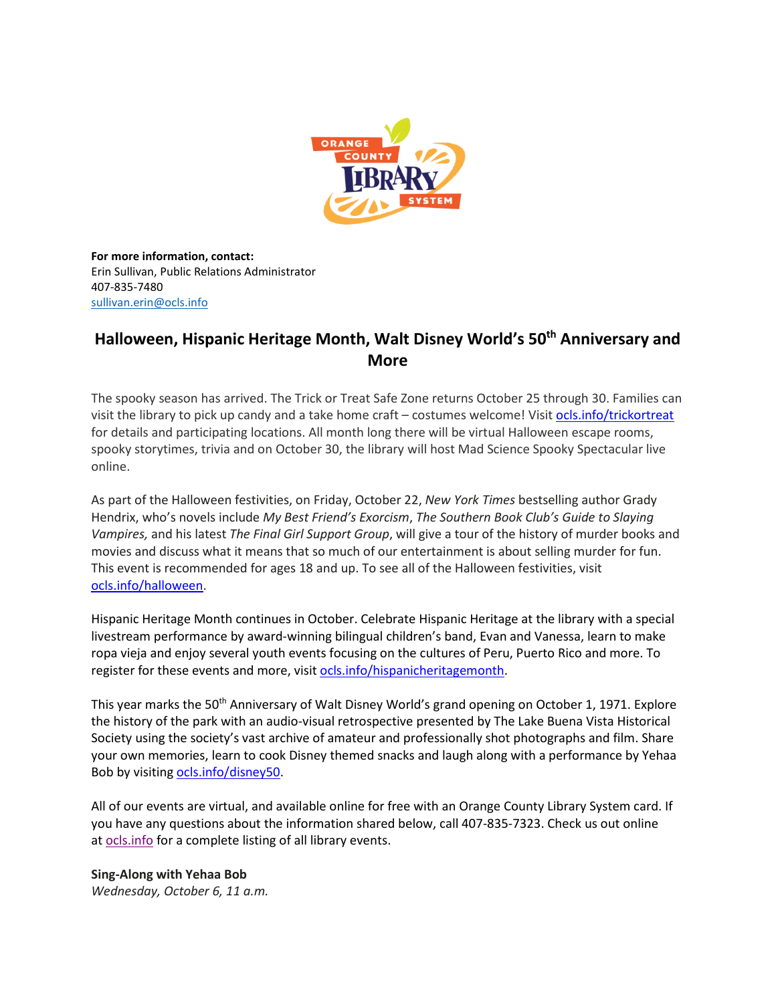

**For more information, contact:** Erin Sullivan, Public Relations Administrator 407-835-7480 [sullivan.erin@ocls.info](mailto:sullivan.erin@ocls.info)

# **Halloween, Hispanic Heritage Month, Walt Disney World's 50th Anniversary and More**

The spooky season has arrived. The Trick or Treat Safe Zone returns October 25 through 30. Families can visit the library to pick up candy and a take home craft – costumes welcome! Visit [ocls.info/trickortreat](http://www.ocls.info/trickortreat) for details and participating locations. All month long there will be virtual Halloween escape rooms, spooky storytimes, trivia and on October 30, the library will host Mad Science Spooky Spectacular live online.

As part of the Halloween festivities, on Friday, October 22, *New York Times* bestselling author Grady Hendrix, who's novels include *My Best Friend's Exorcism*, *The Southern Book Club's Guide to Slaying Vampires,* and his latest *The Final Girl Support Group*, will give a tour of the history of murder books and movies and discuss what it means that so much of our entertainment is about selling murder for fun. This event is recommended for ages 18 and up. To see all of the Halloween festivities, visit [ocls.info/halloween.](http://www.ocls.info/halloween)

Hispanic Heritage Month continues in October. Celebrate Hispanic Heritage at the library with a special livestream performance by award-winning bilingual children's band, Evan and Vanessa, learn to make ropa vieja and enjoy several youth events focusing on the cultures of Peru, Puerto Rico and more. To register for these events and more, visit [ocls.info/hispanicheritagemonth.](http://www.ocls.info/hispanicheritagemonth)

This year marks the 50<sup>th</sup> Anniversary of Walt Disney World's grand opening on October 1, 1971. Explore the history of the park with an audio-visual retrospective presented by The Lake Buena Vista Historical Society using the society's vast archive of amateur and professionally shot photographs and film. Share your own memories, learn to cook Disney themed snacks and laugh along with a performance by Yehaa Bob by visiting [ocls.info/disney50.](http://www.ocls.info/disney50)

All of our events are virtual, and available online for free with an Orange County Library System card. If you have any questions about the information shared below, call 407-835-7323. Check us out online at [ocls.info](http://www.ocls.info/) for a complete listing of all library events.

**Sing-Along with Yehaa Bob** *Wednesday, October 6, 11 a.m.*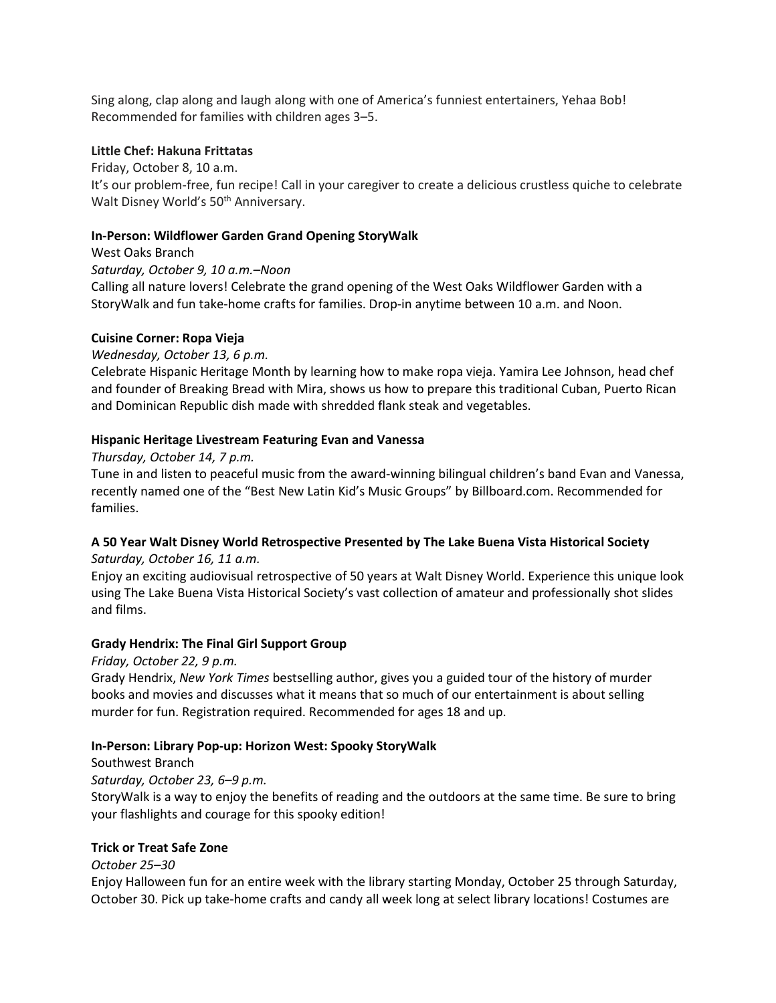Sing along, clap along and laugh along with one of America's funniest entertainers, Yehaa Bob! Recommended for families with children ages 3–5.

#### **Little Chef: Hakuna Frittatas**

Friday, October 8, 10 a.m. It's our problem-free, fun recipe! Call in your caregiver to create a delicious crustless quiche to celebrate Walt Disney World's 50<sup>th</sup> Anniversary.

#### **In-Person: Wildflower Garden Grand Opening StoryWalk**

*Saturday, October 9, 10 a.m.–Noon*  Calling all nature lovers! Celebrate the grand opening of the West Oaks Wildflower Garden with a StoryWalk and fun take-home crafts for families. Drop-in anytime between 10 a.m. and Noon.

#### **Cuisine Corner: Ropa Vieja**

West Oaks Branch

*Wednesday, October 13, 6 p.m.* 

Celebrate Hispanic Heritage Month by learning how to make ropa vieja. Yamira Lee Johnson, head chef and founder of Breaking Bread with Mira, shows us how to prepare this traditional Cuban, Puerto Rican and Dominican Republic dish made with shredded flank steak and vegetables.

#### **Hispanic Heritage Livestream Featuring Evan and Vanessa**

*Thursday, October 14, 7 p.m.* 

Tune in and listen to peaceful music from the award-winning bilingual children's band Evan and Vanessa, recently named one of the "Best New Latin Kid's Music Groups" by Billboard.com. Recommended for families.

## **A 50 Year Walt Disney World Retrospective Presented by The Lake Buena Vista Historical Society**

*Saturday, October 16, 11 a.m.* 

Enjoy an exciting audiovisual retrospective of 50 years at Walt Disney World. Experience this unique look using The Lake Buena Vista Historical Society's vast collection of amateur and professionally shot slides and films.

#### **Grady Hendrix: The Final Girl Support Group**

*Friday, October 22, 9 p.m.* 

Grady Hendrix, *New York Times* bestselling author, gives you a guided tour of the history of murder books and movies and discusses what it means that so much of our entertainment is about selling murder for fun. Registration required. Recommended for ages 18 and up.

#### **In-Person: Library Pop-up: Horizon West: Spooky StoryWalk**

Southwest Branch

*Saturday, October 23, 6–9 p.m.* 

StoryWalk is a way to enjoy the benefits of reading and the outdoors at the same time. Be sure to bring your flashlights and courage for this spooky edition!

#### **Trick or Treat Safe Zone**

#### *October 25–30*

Enjoy Halloween fun for an entire week with the library starting Monday, October 25 through Saturday, October 30. Pick up take-home crafts and candy all week long at select library locations! Costumes are